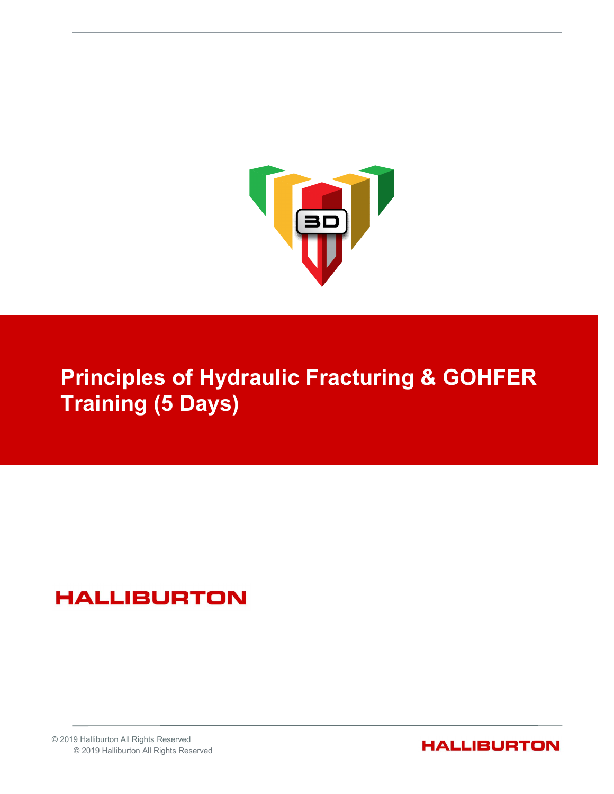

# Principles of Hydraulic Fracturing & GOHFER Training (5 Days)

# **HALLIBURTON**

© 2019 Halliburton All Rights Reserved © 2019 Halliburton All Rights Reserved

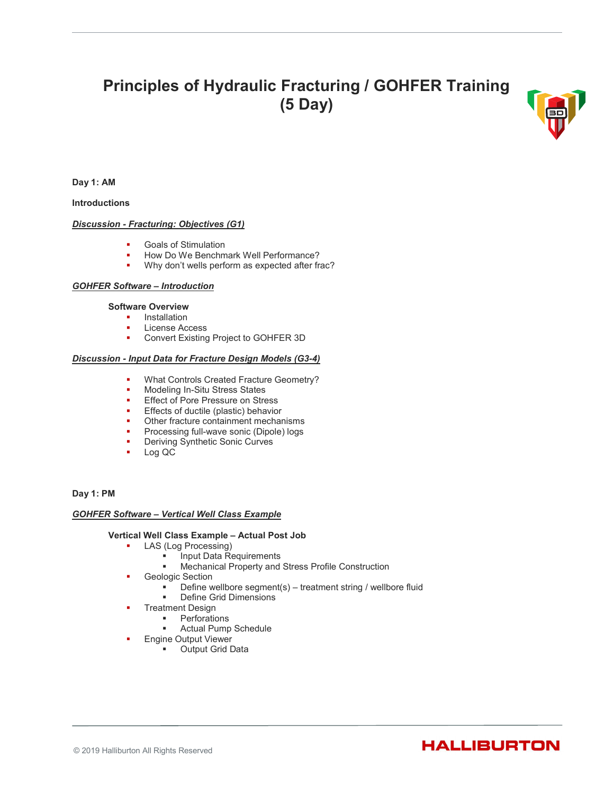# Principles of Hydraulic Fracturing / GOHFER Training (5 Day)



Day 1: AM

Introductions

# Discussion - Fracturing: Objectives (G1)

- **Goals of Stimulation**
- How Do We Benchmark Well Performance?<br>■ Why don't wells perform as expected after fra
- Why don't wells perform as expected after frac?

# GOHFER Software – Introduction

# Software Overview

- **Installation**
- **License Access**
- **Convert Existing Project to GOHFER 3D**

# Discussion - Input Data for Fracture Design Models (G3-4)

- **What Controls Created Fracture Geometry?**
- **Modeling In-Situ Stress States**
- **Effect of Pore Pressure on Stress**
- Effects of ductile (plastic) behavior
- Other fracture containment mechanisms
- Processing full-wave sonic (Dipole) logs
- Deriving Synthetic Sonic Curves
- Log QC

# Day 1: PM

# GOHFER Software – Vertical Well Class Example

# Vertical Well Class Example – Actual Post Job

- **LAS (Log Processing)** 
	- Input Data Requirements
	- Mechanical Property and Stress Profile Construction
- Geologic Section
	- Define wellbore segment(s) treatment string / wellbore fluid
	- **•** Define Grid Dimensions
- Treatment Design
	- Perforations
	- Actual Pump Schedule
- Engine Output Viewer
	- **Output Grid Data**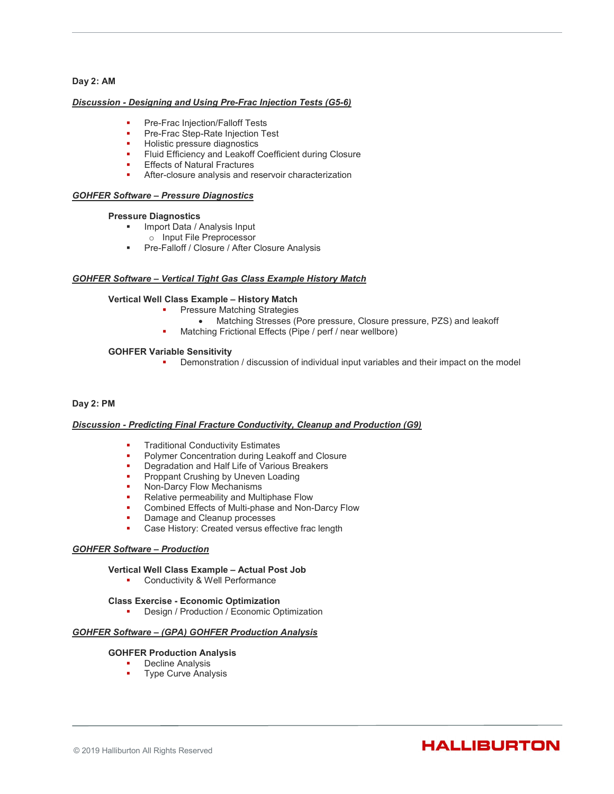# Day 2: AM

### Discussion - Designing and Using Pre-Frac Injection Tests (G5-6)

- Pre-Frac Injection/Falloff Tests
- Pre-Frac Step-Rate Injection Test
- Holistic pressure diagnostics
- **FILUID Efficiency and Leakoff Coefficient during Closure**
- **Effects of Natural Fractures**
- **After-closure analysis and reservoir characterization**

# GOHFER Software – Pressure Diagnostics

#### Pressure Diagnostics

- **Import Data / Analysis Input** 
	- o Input File Preprocessor
- **Pre-Falloff / Closure / After Closure Analysis**

# GOHFER Software – Vertical Tight Gas Class Example History Match

# Vertical Well Class Example – History Match

- Pressure Matching Strategies
	- Matching Stresses (Pore pressure, Closure pressure, PZS) and leakoff
- Matching Frictional Effects (Pipe / perf / near wellbore)

# GOHFER Variable Sensitivity

Demonstration / discussion of individual input variables and their impact on the model

# Day 2: PM

#### Discussion - Predicting Final Fracture Conductivity, Cleanup and Production (G9)

- Traditional Conductivity Estimates
- Polymer Concentration during Leakoff and Closure
- Degradation and Half Life of Various Breakers
- Proppant Crushing by Uneven Loading
- Non-Darcy Flow Mechanisms
- Relative permeability and Multiphase Flow
- Combined Effects of Multi-phase and Non-Darcy Flow
- Damage and Cleanup processes
- Case History: Created versus effective frac length

#### GOHFER Software – Production

#### Vertical Well Class Example – Actual Post Job

**•** Conductivity & Well Performance

#### Class Exercise - Economic Optimization

Design / Production / Economic Optimization

#### GOHFER Software – (GPA) GOHFER Production Analysis

#### GOHFER Production Analysis

- **Decline Analysis**
- Type Curve Analysis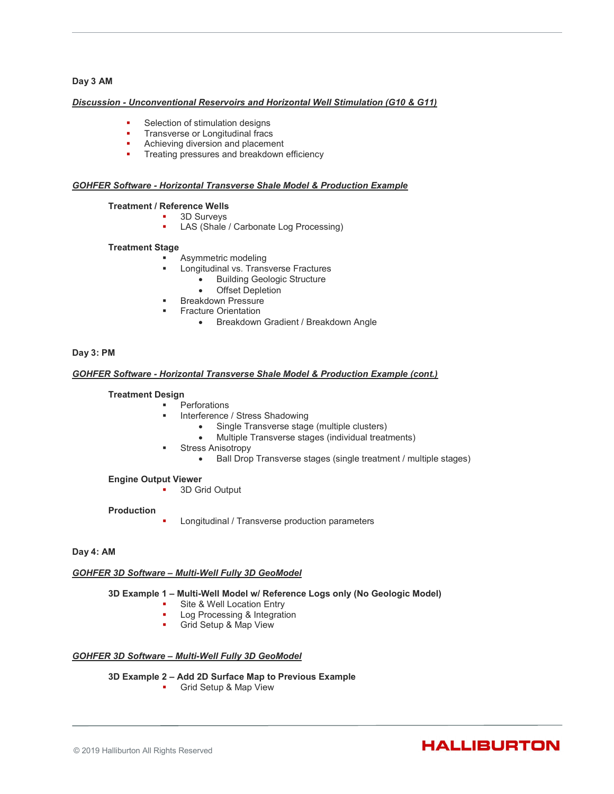# Day 3 AM

### Discussion - Unconventional Reservoirs and Horizontal Well Stimulation (G10 & G11)

- Selection of stimulation designs
- Transverse or Longitudinal fracs
- Achieving diversion and placement
- **Treating pressures and breakdown efficiency**

# GOHFER Software - Horizontal Transverse Shale Model & Production Example

### Treatment / Reference Wells

- 3D Surveys
	- LAS (Shale / Carbonate Log Processing)

# Treatment Stage

- Asymmetric modeling
	- Longitudinal vs. Transverse Fractures
		- **•** Building Geologic Structure
		- Offset Depletion
	- Breakdown Pressure
		- Fracture Orientation
			- Breakdown Gradient / Breakdown Angle

# Day 3: PM

# GOHFER Software - Horizontal Transverse Shale Model & Production Example (cont.)

### Treatment Design

- **Perforations** 
	- Interference / Stress Shadowing
		- Single Transverse stage (multiple clusters)
		- Multiple Transverse stages (individual treatments)
	- Stress Anisotropy
		- Ball Drop Transverse stages (single treatment / multiple stages)

Engine Output Viewer

3D Grid Output

#### **Production**

- - Longitudinal / Transverse production parameters

# Day 4: AM

# GOHFER 3D Software – Multi-Well Fully 3D GeoModel

#### 3D Example 1 – Multi-Well Model w/ Reference Logs only (No Geologic Model)

- **Site & Well Location Entry**
- Log Processing & Integration
- **Grid Setup & Map View**

### GOHFER 3D Software – Multi-Well Fully 3D GeoModel

# 3D Example 2 – Add 2D Surface Map to Previous Example

**Grid Setup & Map View** 

#### © 2019 Halliburton All Rights Reserved